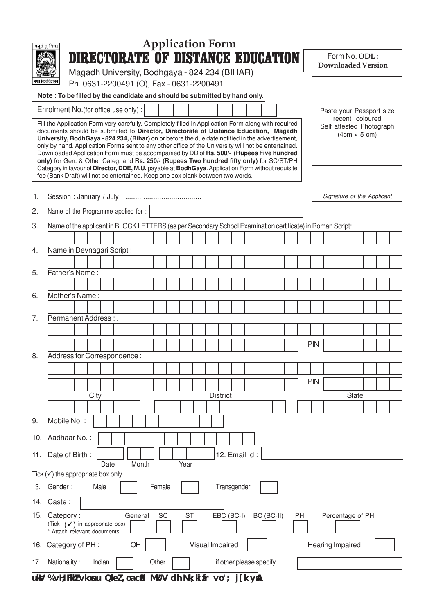|                                                                                                                                                                                                                                                                                                                                                                                                                                                                                                                                                                                                                                                                                                                                                                          | <b>Application Form</b><br>अमृतं तु विद्या                                                                |  |  |  |  |  |  |
|--------------------------------------------------------------------------------------------------------------------------------------------------------------------------------------------------------------------------------------------------------------------------------------------------------------------------------------------------------------------------------------------------------------------------------------------------------------------------------------------------------------------------------------------------------------------------------------------------------------------------------------------------------------------------------------------------------------------------------------------------------------------------|-----------------------------------------------------------------------------------------------------------|--|--|--|--|--|--|
|                                                                                                                                                                                                                                                                                                                                                                                                                                                                                                                                                                                                                                                                                                                                                                          | <b>DIRECTORATE OF DISTANCE EDUCATION</b><br>Form No. ODL:<br><b>Downloaded Version</b>                    |  |  |  |  |  |  |
|                                                                                                                                                                                                                                                                                                                                                                                                                                                                                                                                                                                                                                                                                                                                                                          | Magadh University, Bodhgaya - 824 234 (BIHAR)                                                             |  |  |  |  |  |  |
| ापध विश्वविद्यालय<br>Ph. 0631-2200491 (O), Fax - 0631-2200491<br>Note: To be filled by the candidate and should be submitted by hand only.                                                                                                                                                                                                                                                                                                                                                                                                                                                                                                                                                                                                                               |                                                                                                           |  |  |  |  |  |  |
|                                                                                                                                                                                                                                                                                                                                                                                                                                                                                                                                                                                                                                                                                                                                                                          | Enrolment No. (for office use only) :<br>Paste your Passport size                                         |  |  |  |  |  |  |
| recent coloured<br>Fill the Application Form very carefully. Completely filled in Application Form along with required<br>Self attested Photograph<br>documents should be submitted to Director, Directorate of Distance Education, Magadh<br>$(4cm \times 5 cm)$<br>University, BodhGaya - 824 234, (Bihar) on or before the due date notified in the advertisement,<br>only by hand. Application Forms sent to any other office of the University will not be entertained.<br>Downloaded Application Form must be accompanied by DD of Rs. 500/- (Rupees Five hundred<br>only) for Gen. & Other Categ. and Rs. 250/- (Rupees Two hundred fifty only) for SC/ST/PH<br>Category in favour of Director, DDE, M.U. payable at BodhGaya. Application Form without requisite |                                                                                                           |  |  |  |  |  |  |
|                                                                                                                                                                                                                                                                                                                                                                                                                                                                                                                                                                                                                                                                                                                                                                          | fee (Bank Draft) will not be entertained. Keep one box blank between two words.                           |  |  |  |  |  |  |
| 1.                                                                                                                                                                                                                                                                                                                                                                                                                                                                                                                                                                                                                                                                                                                                                                       | Signature of the Applicant                                                                                |  |  |  |  |  |  |
| 2.                                                                                                                                                                                                                                                                                                                                                                                                                                                                                                                                                                                                                                                                                                                                                                       | Name of the Programme applied for :                                                                       |  |  |  |  |  |  |
| 3.                                                                                                                                                                                                                                                                                                                                                                                                                                                                                                                                                                                                                                                                                                                                                                       | Name of the applicant in BLOCK LETTERS (as per Secondary School Examination certificate) in Roman Script: |  |  |  |  |  |  |
|                                                                                                                                                                                                                                                                                                                                                                                                                                                                                                                                                                                                                                                                                                                                                                          |                                                                                                           |  |  |  |  |  |  |
| 4.                                                                                                                                                                                                                                                                                                                                                                                                                                                                                                                                                                                                                                                                                                                                                                       | Name in Devnagari Script:                                                                                 |  |  |  |  |  |  |
| 5.                                                                                                                                                                                                                                                                                                                                                                                                                                                                                                                                                                                                                                                                                                                                                                       | Father's Name:                                                                                            |  |  |  |  |  |  |
|                                                                                                                                                                                                                                                                                                                                                                                                                                                                                                                                                                                                                                                                                                                                                                          |                                                                                                           |  |  |  |  |  |  |
| 6.                                                                                                                                                                                                                                                                                                                                                                                                                                                                                                                                                                                                                                                                                                                                                                       | Mother's Name:                                                                                            |  |  |  |  |  |  |
| 7.                                                                                                                                                                                                                                                                                                                                                                                                                                                                                                                                                                                                                                                                                                                                                                       | Permanent Address:.                                                                                       |  |  |  |  |  |  |
|                                                                                                                                                                                                                                                                                                                                                                                                                                                                                                                                                                                                                                                                                                                                                                          |                                                                                                           |  |  |  |  |  |  |
|                                                                                                                                                                                                                                                                                                                                                                                                                                                                                                                                                                                                                                                                                                                                                                          | PIN                                                                                                       |  |  |  |  |  |  |
| 8.                                                                                                                                                                                                                                                                                                                                                                                                                                                                                                                                                                                                                                                                                                                                                                       | Address for Correspondence:                                                                               |  |  |  |  |  |  |
|                                                                                                                                                                                                                                                                                                                                                                                                                                                                                                                                                                                                                                                                                                                                                                          |                                                                                                           |  |  |  |  |  |  |
|                                                                                                                                                                                                                                                                                                                                                                                                                                                                                                                                                                                                                                                                                                                                                                          | <b>PIN</b>                                                                                                |  |  |  |  |  |  |
|                                                                                                                                                                                                                                                                                                                                                                                                                                                                                                                                                                                                                                                                                                                                                                          | <b>District</b><br>City<br><b>State</b>                                                                   |  |  |  |  |  |  |
|                                                                                                                                                                                                                                                                                                                                                                                                                                                                                                                                                                                                                                                                                                                                                                          |                                                                                                           |  |  |  |  |  |  |
| 9.                                                                                                                                                                                                                                                                                                                                                                                                                                                                                                                                                                                                                                                                                                                                                                       | Mobile No.:                                                                                               |  |  |  |  |  |  |
| 10.                                                                                                                                                                                                                                                                                                                                                                                                                                                                                                                                                                                                                                                                                                                                                                      | Aadhaar No.:                                                                                              |  |  |  |  |  |  |
| 12. Email Id:<br>Date of Birth:<br>11.<br>Month<br>Year<br>Date                                                                                                                                                                                                                                                                                                                                                                                                                                                                                                                                                                                                                                                                                                          |                                                                                                           |  |  |  |  |  |  |
| Tick $(\checkmark)$ the appropriate box only                                                                                                                                                                                                                                                                                                                                                                                                                                                                                                                                                                                                                                                                                                                             |                                                                                                           |  |  |  |  |  |  |
| 13.                                                                                                                                                                                                                                                                                                                                                                                                                                                                                                                                                                                                                                                                                                                                                                      | Transgender<br>Female<br>Gender:<br>Male                                                                  |  |  |  |  |  |  |
|                                                                                                                                                                                                                                                                                                                                                                                                                                                                                                                                                                                                                                                                                                                                                                          | 14. Caste:                                                                                                |  |  |  |  |  |  |
| Category:<br>General<br>SC<br><b>ST</b><br>EBC (BC-I)<br>BC (BC-II)<br>Percentage of PH<br>15.<br>PH<br>(Tick $(\checkmark)$ in appropriate box)<br>* Attach rélevant documents                                                                                                                                                                                                                                                                                                                                                                                                                                                                                                                                                                                          |                                                                                                           |  |  |  |  |  |  |
| 16.                                                                                                                                                                                                                                                                                                                                                                                                                                                                                                                                                                                                                                                                                                                                                                      | Visual Impaired<br>OH<br>Hearing Impaired<br>Category of PH :                                             |  |  |  |  |  |  |
| 17.                                                                                                                                                                                                                                                                                                                                                                                                                                                                                                                                                                                                                                                                                                                                                                      | Nationality:<br>Indian<br>Other<br>if other please specify:                                               |  |  |  |  |  |  |

uksV % vH; FkhZ vkonu QkeZ, oa csd MtsqV dh Nk; ki fr vo'; j[k ysA